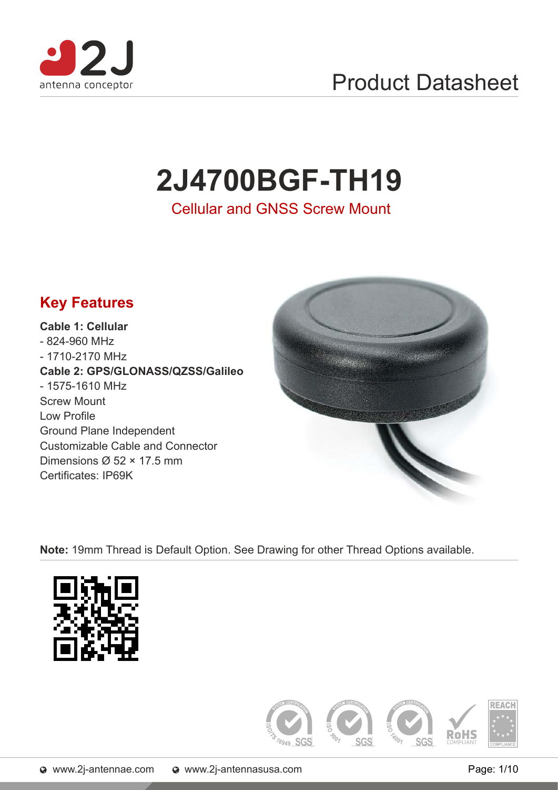

## Product Datasheet

# **2J4700BGF-TH19**

Cellular and GNSS Screw Mount



**Note:** 19mm Thread is Default Option. See Drawing for other Thread Options available.



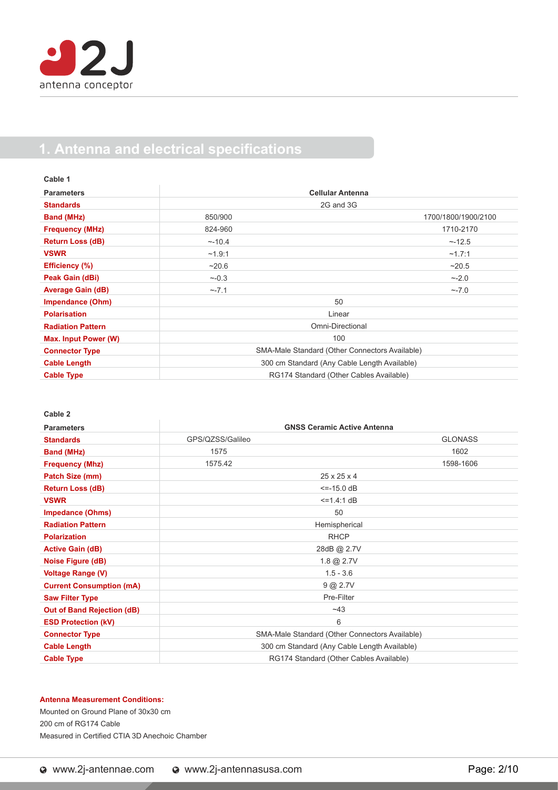### **1. Antenna and electrical specifications**

| Cable 1                  |                                                |                     |  |
|--------------------------|------------------------------------------------|---------------------|--|
| <b>Parameters</b>        | <b>Cellular Antenna</b>                        |                     |  |
| <b>Standards</b>         | 2G and 3G                                      |                     |  |
| <b>Band (MHz)</b>        | 850/900                                        | 1700/1800/1900/2100 |  |
| <b>Frequency (MHz)</b>   | 824-960                                        | 1710-2170           |  |
| <b>Return Loss (dB)</b>  | ~10.4                                          | ~12.5               |  |
| <b>VSWR</b>              | ~1.9:1                                         | ~1.7:1              |  |
| Efficiency (%)           | ~20.6                                          | ~20.5               |  |
| Peak Gain (dBi)          | $~1 - 0.3$                                     | $~2 - 2.0$          |  |
| <b>Average Gain (dB)</b> | $~-7.1$                                        | $\sim$ -7.0         |  |
| <b>Impendance (Ohm)</b>  |                                                | 50                  |  |
| <b>Polarisation</b>      | Linear                                         |                     |  |
| <b>Radiation Pattern</b> | Omni-Directional                               |                     |  |
| Max. Input Power (W)     | 100                                            |                     |  |
| <b>Connector Type</b>    | SMA-Male Standard (Other Connectors Available) |                     |  |
| <b>Cable Length</b>      | 300 cm Standard (Any Cable Length Available)   |                     |  |
| <b>Cable Type</b>        | RG174 Standard (Other Cables Available)        |                     |  |

**Cable 2**

| <b>Parameters</b>                 | <b>GNSS Ceramic Active Antenna</b>             |                |  |
|-----------------------------------|------------------------------------------------|----------------|--|
| <b>Standards</b>                  | GPS/QZSS/Galileo                               | <b>GLONASS</b> |  |
| <b>Band (MHz)</b>                 | 1575                                           | 1602           |  |
| <b>Frequency (Mhz)</b>            | 1575.42                                        | 1598-1606      |  |
| Patch Size (mm)                   | $25 \times 25 \times 4$                        |                |  |
| <b>Return Loss (dB)</b>           | $\le -15.0 \, \text{dB}$                       |                |  |
| <b>VSWR</b>                       | $\le$ = 1.4:1 dB                               |                |  |
| <b>Impedance (Ohms)</b>           | 50                                             |                |  |
| <b>Radiation Pattern</b>          | Hemispherical                                  |                |  |
| <b>Polarization</b>               | <b>RHCP</b>                                    |                |  |
| <b>Active Gain (dB)</b>           | 28dB @ 2.7V                                    |                |  |
| Noise Figure (dB)                 | $1.8 \& 2.7V$                                  |                |  |
| <b>Voltage Range (V)</b>          | $1.5 - 3.6$                                    |                |  |
| <b>Current Consumption (mA)</b>   | 9 @ 2.7V                                       |                |  |
| <b>Saw Filter Type</b>            | Pre-Filter                                     |                |  |
| <b>Out of Band Rejection (dB)</b> | ~143                                           |                |  |
| <b>ESD Protection (kV)</b>        | 6                                              |                |  |
| <b>Connector Type</b>             | SMA-Male Standard (Other Connectors Available) |                |  |
| <b>Cable Length</b>               | 300 cm Standard (Any Cable Length Available)   |                |  |
| <b>Cable Type</b>                 | RG174 Standard (Other Cables Available)        |                |  |

#### **Antenna Measurement Conditions:**

Mounted on Ground Plane of 30x30 cm 200 cm of RG174 Cable Measured in Certified CTIA 3D Anechoic Chamber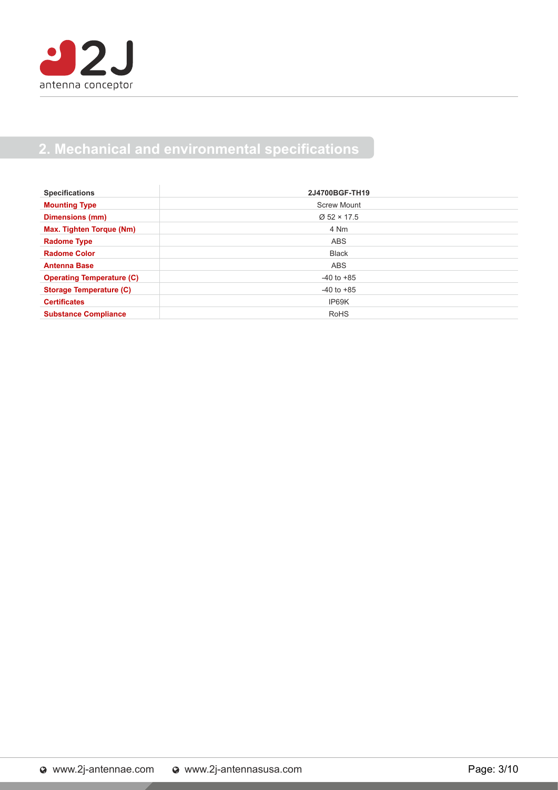

### **2. Mechanical and environmental specifications**

| <b>Specifications</b>            | 2J4700BGF-TH19     |
|----------------------------------|--------------------|
| <b>Mounting Type</b>             | <b>Screw Mount</b> |
| <b>Dimensions (mm)</b>           | $Ø$ 52 × 17.5      |
| Max. Tighten Torque (Nm)         | 4 Nm               |
| <b>Radome Type</b>               | ABS                |
| <b>Radome Color</b>              | <b>Black</b>       |
| <b>Antenna Base</b>              | <b>ABS</b>         |
| <b>Operating Temperature (C)</b> | $-40$ to $+85$     |
| <b>Storage Temperature (C)</b>   | $-40$ to $+85$     |
| <b>Certificates</b>              | IP69K              |
| <b>Substance Compliance</b>      | <b>RoHS</b>        |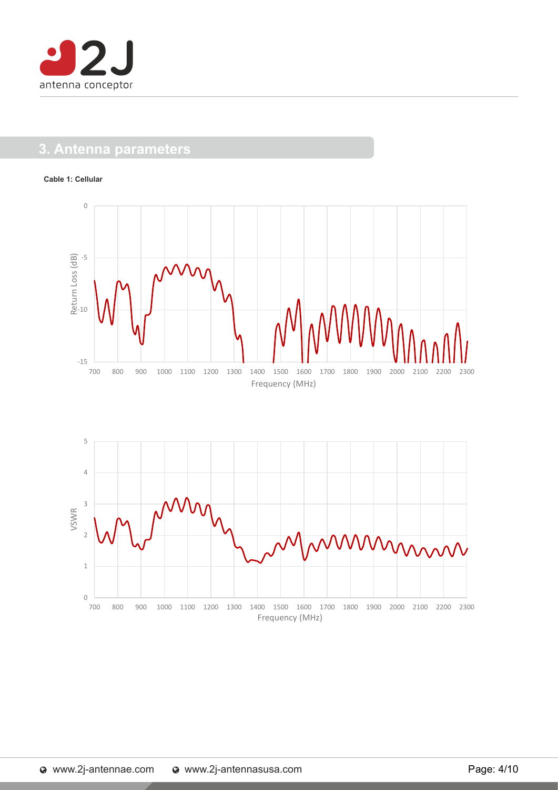

### **3. Antenna parameters**

#### **Cable 1: Cellular**



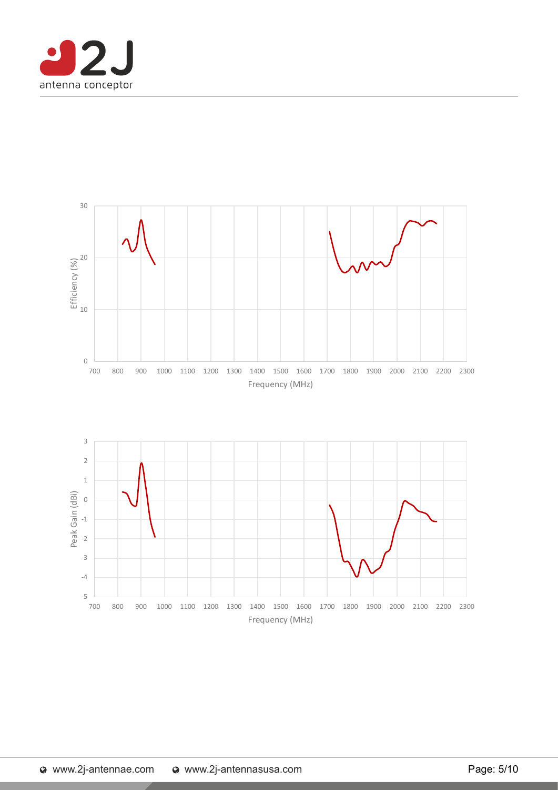

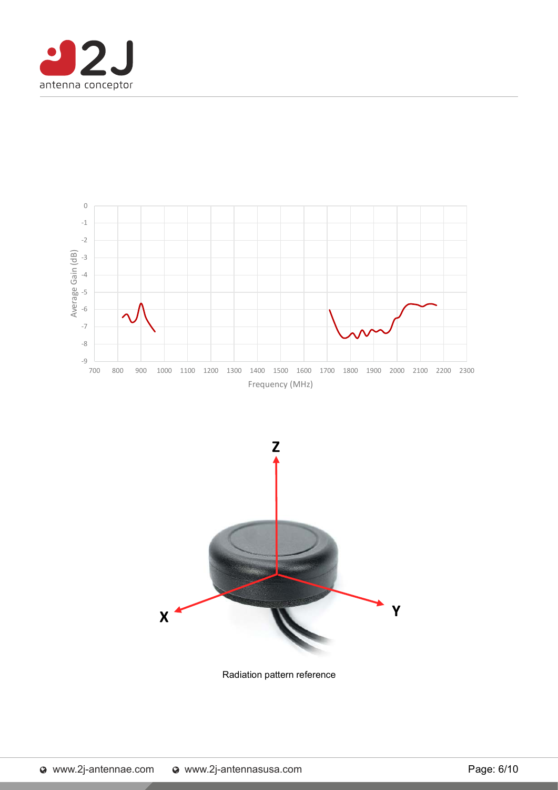





Radiation pattern reference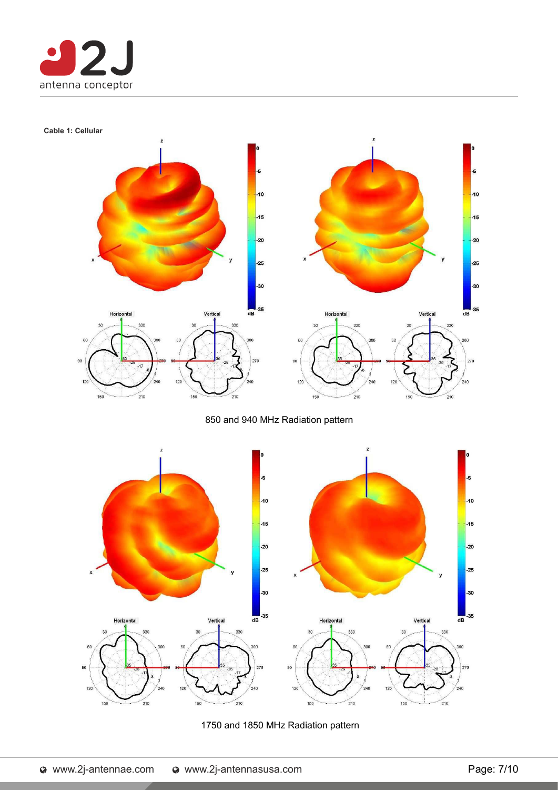

#### **Cable 1: Cellular**



850 and 940 MHz Radiation pattern



#### 1750 and 1850 MHz Radiation pattern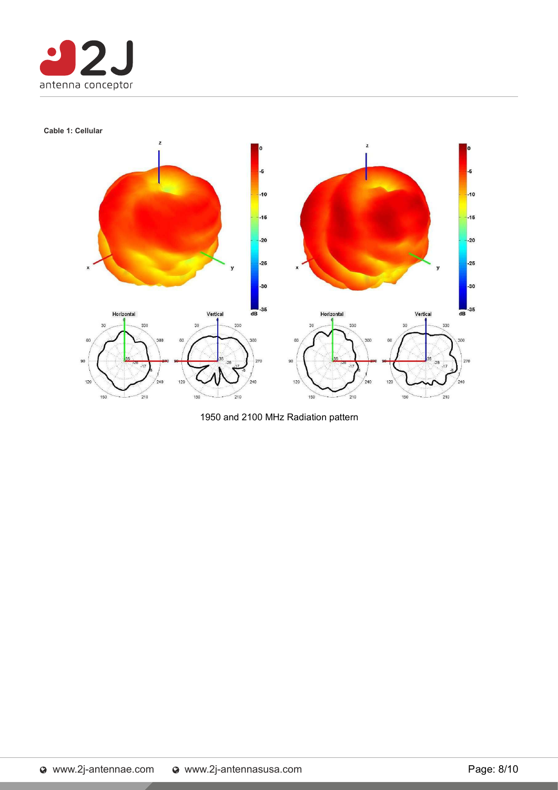

#### **Cable 1: Cellular**



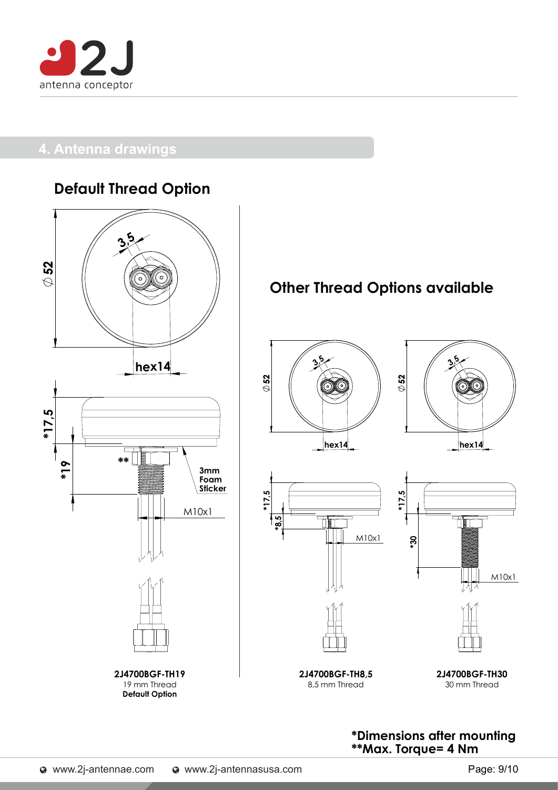

### **4. Antenna drawings**

### **Default Thread Option**



### **Other Thread Options available**







**2J4700BGF-TH8,5** 8,5 mm Thread



**2J4700BGF-TH30** 30 mm Thread

**\*Dimensions after mounting \*\*Max. Torque= 4 Nm**